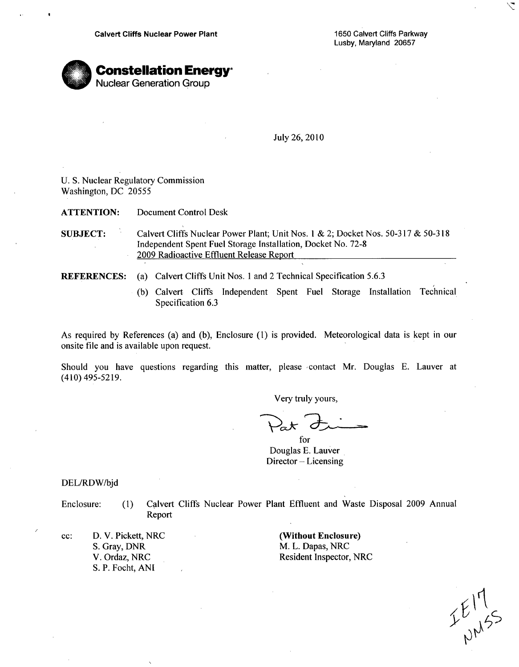Lusby, Maryland 20657

 $\backslash$ 



July 26, 2010

U. S. Nuclear Regulatory Commission Washington, DC 20555

**ATTENTION:** Document Control Desk

- **SUBJECT:** Calvert Cliffs Nuclear Power Plant; Unit Nos. **I** & 2; Docket Nos. 50-317 & 50-318 Independent Spent Fuel Storage Installation, Docket No. 72-8 2009 Radioactive Effluent Release Report
- REFERENCES: (a) Calvert Cliffs Unit Nos. 1 and 2 Technical Specification 5.6.3
	- (b) Calvert Cliffs Independent Spent Fuel Storage Installation Technical Specification 6.3

As required by References (a) and (b), Enclosure **(1)** is provided. Meteorological data is kept in our onsite file and is available upon request.

Should you have questions regarding this matter, please contact Mr. Douglas E. Lauver at (410) 495-5219.

Very truly yours,

for Douglas **E.** Lauver Director - Licensing

DEL/RDW/bjd

Enclosure: (1) Calvert Cliffs Nuclear Power Plant Effluent and Waste Disposal 2009 Annual Report

cc: D. V. Pickett, NRC S. Gray, DNR V. Ordaz, NRC S. P. Focht, **ANI**

(Without Enclosure) M. L. Dapas, NRC Resident Inspector, NRC

 $E_{\mu\nu}^{17}$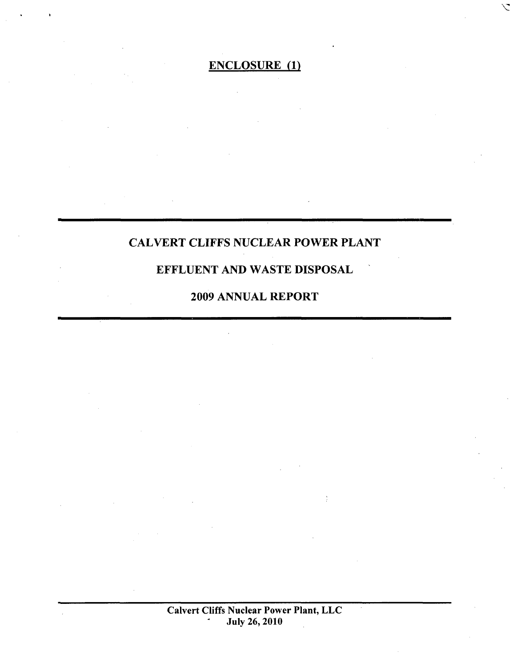**\7**

CALVERT CLIFFS NUCLEAR POWER PLANT

# EFFLUENT AND WASTE DISPOSAL

# 2009 ANNUAL REPORT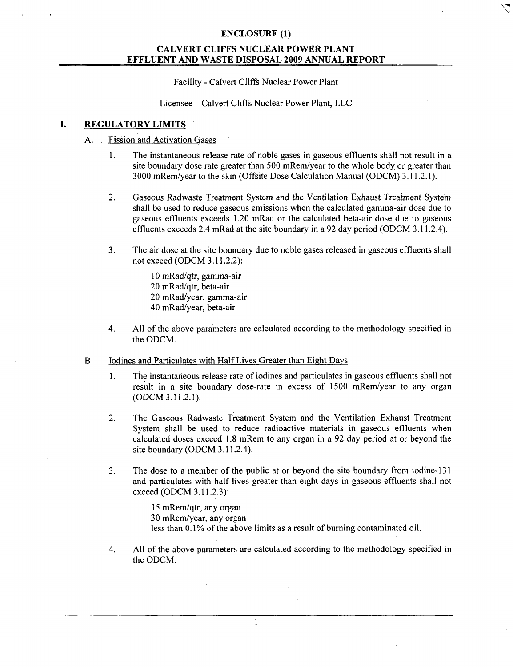### CALVERT **CLIFFS NUCLEAR** POWER **PLANT EFFLUENT AND** WASTE **DISPOSAL 2009 ANNUAL** REPORT

Facility - Calvert Cliffs Nuclear Power Plant

Licensee - Calvert Cliffs Nuclear Power Plant, LLC

#### I. REGULATORY LIMITS

#### A. Fission and Activation Gases

- 1. The instantaneous release rate of noble gases in gaseous effluents shall not result in a site boundary dose rate greater than 500 mRem/year to the whole body or greater than 3000 mRem/year to the skin (Offsite Dose Calculation Manual (ODCM) 3.11.2.1).
- 2. Gaseous Radwaste Treatment System and the Ventilation Exhaust Treatment System shall be used to reduce gaseous emissions when the calculated gamma-air dose due to gaseous effluents exceeds 1.20 mRad or the calculated beta-air dose due to gaseous effluents exceeds 2.4 mRad at the site boundary in a 92 day period (ODCM 3.11.2.4).
- 3. The air dose at the site boundary due to noble gases released in gaseous effluents shall not exceed (ODCM 3.11.2.2):

10 mRad/qtr, gamma-air 20 mRad/qtr, beta-air 20 mRad/year, gamma-air 40 mRad/year, beta-air

- 4. All of the above parameters are calculated according to the methodology specified in the ODCM.
- B. Iodines and Particulates with Half Lives Greater than Eight Days
	- 1. The instantaneous release rate of iodines and particulates in gaseous effluents shall not result in a site boundary dose-rate in excess of 1500 mRem/year to any organ (ODCM 3.11.2.1).
	- 2. The Gaseous Radwaste Treatment System and the Ventilation Exhaust Treatment System shall be used to reduce radioactive materials in gaseous effluents when calculated doses exceed 1.8 mRem to any organ in a 92 day period at or beyond the site boundary (ODCM 3.11.2.4).
	- 3. The dose to a member of the public at or beyond the site boundary from iodine-131 and particulates with half lives greater than eight days in gaseous effluents shall not exceed (ODCM 3.11.2.3):

15 mRem/qtr, any organ 30 mRem/year, any organ less than 0.1% of the above limits as a result of burning contaminated oil.

4. All of the above parameters are calculated according to the methodology specified in the ODCM.

**I**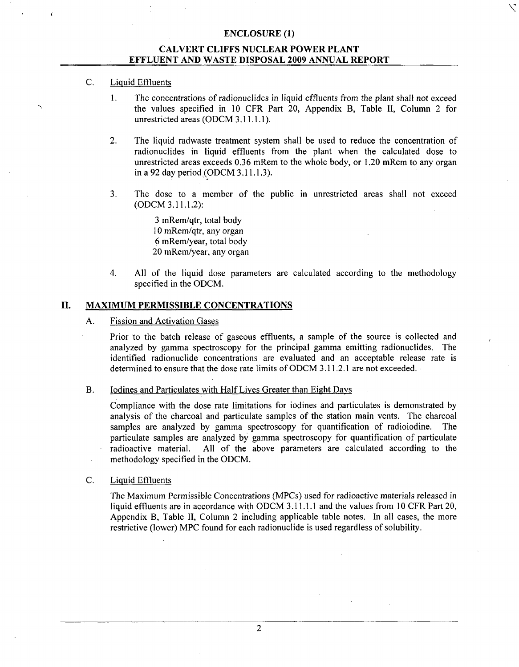### CALVERT **CLIFFS NUCLEAR** POWER **PLANT EFFLUENT AND** WASTE **DISPOSAL 2009 ANNUAL** REPORT

### C. Liquid Effluents

1. The concentrations of radionuclides in liquid effluents from the plant shall not exceed the values specified in 10 CFR Part 20, Appendix B, Table II, Column 2 for unrestricted areas (ODCM 3.11.1.1).

**'K:**

- 2. The liquid radwaste treatment system shall be used to reduce the concentration of radionuclides in liquid effluents from the plant when the calculated dose to unrestricted areas exceeds 0.36 mRem to the whole body, or 1.20 mRem to any organ in a 92 day period,(ODCM 3.11.1.3).
- 3. The dose to a member of the public in unrestricted areas shall not exceed (ODCM 3.11.1.2):

3 mRem/qtr, total body 10 mRem/qtr, any organ 6 mRem/year, total body 20 mRem/year, any organ

4. All of the liquid dose parameters are calculated according to the methodology specified in the ODCM.

#### **II.** MAXIMUM PERMISSIBLE **CONCENTRATIONS**

#### A. Fission and Activation Gases

Prior to the batch release of gaseous effluents, a sample of the source is collected and analyzed by gamma spectroscopy for the principal gamma emitting radionuclides. The identified radionuclide concentrations are evaluated and an acceptable release rate is determined to ensure that the dose rate limits of ODCM 3.11.2.1 are not exceeded.

#### B. Iodines and Particulates with Half Lives Greater than Eight Days

Compliance with the dose rate limitations for iodines and particulates is demonstrated by analysis of the charcoal and particulate samples of the station main vents. The charcoal samples are analyzed by gamma spectroscopy for quantification of radioiodine. The particulate samples are analyzed by gamma spectroscopy for quantification of particulate radioactive material. All of the above parameters are calculated according to the methodology specified in the ODCM.

#### C. Liquid Effluents

The Maximum Permissible Concentrations (MPCs) used for radioactive materials released in liquid effluents are in accordance with ODCM 3.11.1.1 and the values from 10 CFR Part 20, Appendix B, Table II, Column 2 including applicable table notes. In all cases, the more restrictive (lower) MPC found for each radionuclide is used regardless of solubility.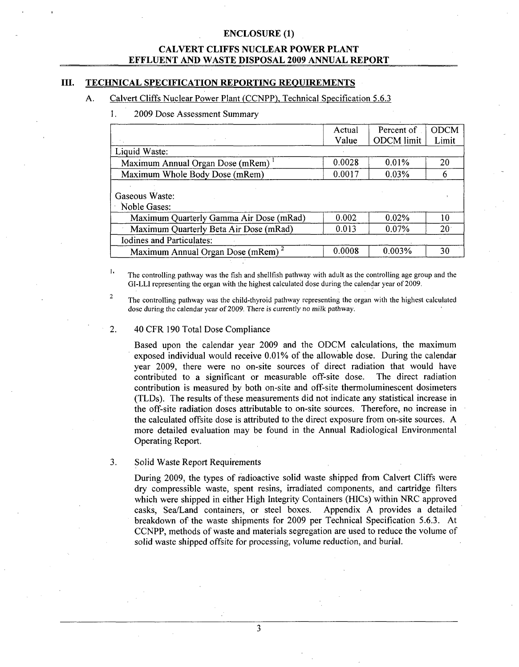#### CALVERT **CLIFFS NUCLEAR** POWER **PLANT EFFLUENT AND** WASTE **DISPOSAL 2009 ANNUAL** REPORT

#### **III. TECHNICAL SPECIFICATION** REPORTING **REQUIREMENTS**

#### **A.** Calvert Cliffs Nuclear Power Plant (CCNPP), Technical Specification 5.6.3

#### **1 . 2009** Dose Assessment Summary

|                                               | Actual | Percent of        | <b>ODCM</b>     |
|-----------------------------------------------|--------|-------------------|-----------------|
|                                               | Value  | <b>ODCM</b> limit | Limit           |
| Liquid Waste:                                 |        |                   |                 |
| Maximum Annual Organ Dose (mRem)              | 0.0028 | $0.01\%$          | 20              |
| Maximum Whole Body Dose (mRem)                | 0.0017 | 0.03%             | 6               |
| Gaseous Waste:<br>Noble Gases:                |        |                   |                 |
| Maximum Quarterly Gamma Air Dose (mRad)       | 0.002  | 0.02%             | 10              |
| Maximum Quarterly Beta Air Dose (mRad)        | 0.013  | 0.07%             | 20 <sup>1</sup> |
| <b>Iodines and Particulates:</b>              |        |                   |                 |
| Maximum Annual Organ Dose (mRem) <sup>2</sup> | 0.0008 | 0.003%            | 30              |

 $\mathbf{1}$ The controlling pathway was the fish and shellfish pathway with adult as the controlling age group and the GI-LLI representing the organ with the highest calculated dose during the calendar year of 2009.

The controlling pathway was the child-thyroid pathway representing the organ with the highest calculated dose during the calendar year of 2009. There is currently no milk pathway.

#### 2. 40 CFR 190 Total Dose Compliance

 $\overline{2}$ 

Based upon the calendar year 2009 and the ODCM calculations, the maximum exposed individual would receive 0.01% of the allowable dose. During the calendar year 2009, there were no on-site sources of direct radiation that would have contributed to a significant or measurable off-site dose. The direct radiation contribution is measured by both on-site and off-site thermoluminescent dosimeters (TLDs). The results of these measurements did not indicate any statistical increase in the off-site radiation doses attributable to on-site sources. Therefore, no increase in the calculated offsite dose is attributed to the direct exposure from on-site sources. A more detailed evaluation may be found in the Annual Radiological Environmental Operating Report.

#### 3. Solid Waste Report Requirements

During 2009, the types of radioactive solid waste shipped from Calvert Cliffs were dry compressible waste, spent resins, irradiated components, and cartridge filters which were shipped in either High Integrity Containers (HICs) within NRC approved casks, Sea/Land containers, or steel boxes. Appendix A provides a detailed breakdown of the waste shipments for 2009 per Technical Specification 5.6.3. At CCNPP, methods of waste and materials segregation are used to reduce the volume of solid waste shipped offsite for processing, volume reduction, and burial.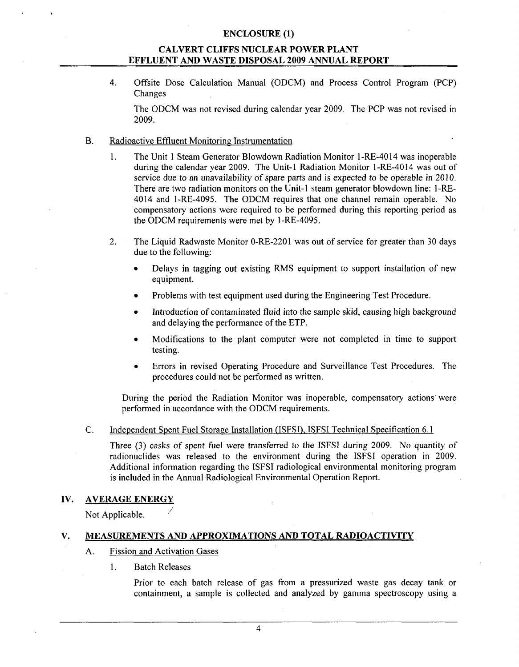### CALVERT **CLIFFS NUCLEAR** POWER **PLANT EFFLUENT AND** WASTE **DISPOSAL 2009 ANNUAL** REPORT

4. Offsite Dose Calculation Manual (ODCM) and Process Control Program (PCP) Changes

The ODCM was not revised during calendar year 2009. The PCP was not revised in 2009.

- B. Radioactive Effluent Monitoring Instrumentation
	- 1. The Unit 1 Steam Generator Blowdown Radiation Monitor I -RE-4014 was inoperable during the calendar year 2009. The Unit-I Radiation Monitor 1-RE-4014 was out of service due to an unavailability of spare parts and is expected to be operable in 2010. There are two radiation monitors on the Unit-I steam generator blowdown line: 1-RE-4014 and 1-RE-4095. The ODCM requires that one channel remain operable. No compensatory actions were required to be performed during this reporting period as the ODCM requirements were met by 1-RE-4095.
	- 2. The Liquid Radwaste Monitor 0-RE-2201 was out of service for greater than 30 days due to the following:
		- **"** Delays in tagging out existing RMS equipment to support installation of new equipment.
		- Problems with test equipment used during the Engineering Test Procedure.
		- Introduction of contaminated fluid into the sample skid, causing high background and delaying the performance of the ETP.
		- Modifications to the plant computer were not completed in time to support testing.
		- \* Errors in revised Operating Procedure and Surveillance Test Procedures. The procedures could not be performed as written.

During the period the Radiation Monitor was inoperable, compensatory actions were performed in accordance with the ODCM requirements.

C. Independent Spent Fuel Storage Installation (ISFSI), ISFSI Technical Specification 6.1

Three (3) casks of spent fuel were transferred to the ISFSI during 2009. No quantity of radionuclides was released to the environment during the ISFSI operation in 2009. Additional information regarding the ISFSI radiological environmental monitoring program is included in the Annual Radiological Environmental Operation Report.

#### IV. AVERAGE ENERGY

Not Applicable.

#### V. **MEASUREMENTS AND** APPROXIMATIONS **AND** TOTAL RADIOACTIVITY

- A. Fission and Activation Gases
	- 1. Batch Releases

Prior to each batch release of gas from a pressurized waste gas decay tank or containment, a sample is collected and analyzed by gamma spectroscopy using a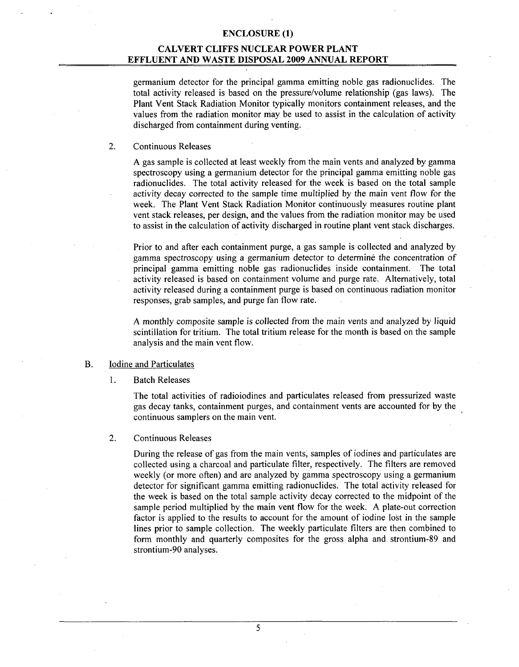#### CALVERT **CLIFFS NUCLEAR** POWER **PLANT EFFLUENT AND** WASTE **DISPOSAL 2009 ANNUAL** REPORT

germanium detector for the principal gamma emitting noble gas radionuclides. The total activity released is based on the pressure/volume relationship (gas laws). The Plant Vent Stack Radiation Monitor typically monitors containment releases, and the values from the radiation monitor may be used to assist in the calculation of activity discharged from containment during venting.

#### 2. Continuous Releases

A gas sample is collected at least weekly from the main vents and analyzed by gamma spectroscopy using a germanium detector for the principal gamma emitting noble gas radionuclides. The total activity released for the week is based on the total sample activity decay corrected to the sample time multiplied by the main vent flow for the week. The Plant Vent Stack Radiation Monitor continuously measures routine plant vent stack releases, per design, and the values from the radiation monitor may be used to assist in the calculation of activity discharged in routine plant vent stack discharges.

Prior to and after each containment purge, a gas sample is collected and analyzed by gamma spectroscopy using a germanium detector to determine the concentration of principal gamma emitting noble gas radionuclides inside containment. The total activity released is based on containment volume and purge rate. Alternatively, total activity released during a containment purge is based on continuous radiation monitor responses, grab samples, and purge fan flow rate.

A monthly composite sample is collected from the main vents and analyzed by liquid scintillation for tritium. The total tritium release for the month is based on the sample analysis and the main vent flow.

#### B. Iodine and Particulates

#### **I1.** Batch Releases

The total activities of radioiodines and particulates released from pressurized waste gas decay tanks, containment purges, and containment vents are accounted for by the continuous samplers on the main vent.

#### 2. Continuous Releases

During the release of gas from the main vents, samples of iodines and particulates are collected using a charcoal and particulate filter, respectively. The filters are removed weekly (or more often) and are analyzed by gamma spectroscopy using a germanium detector for significant gamma emitting radionuclides. The total activity released for the week is based on the total sample activity decay corrected to the midpoint of the sample period multiplied by the main vent flow for the week. A plate-out correction factor is applied to the results to account for the amount of iodine lost in the sample lines prior to sample collection. The weekly particulate filters are then combined to form monthly and quarterly composites for the gross alpha and strontium-89 and strontium-90 analyses.

**5**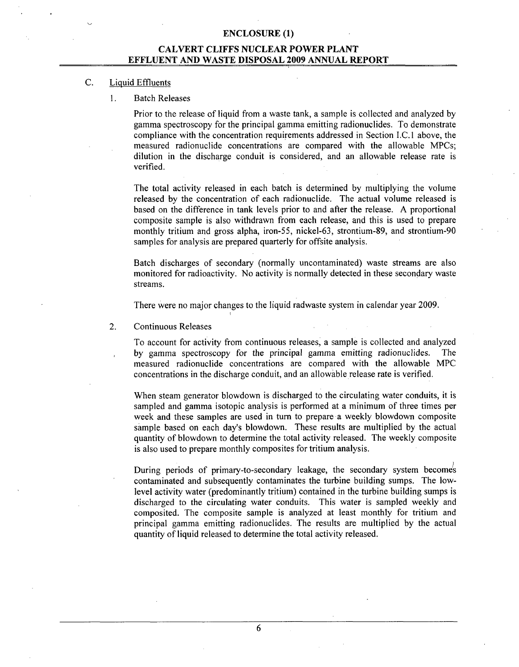### CALVERT **CLIFFS NUCLEAR** POWER **PLANT EFFLUENT AND** WASTE **DISPOSAL 2009 ANNUAL** REPORT

#### C. Liquid Effluents

1. Batch Releases

Prior to the release of liquid from a waste tank, a sample is collected and analyzed by gamma spectroscopy for the principal gamma emitting radionuclides. To demonstrate compliance with the concentration requirements addressed in Section I.C. 1 above, the measured radionuclide concentrations are compared with the allowable MPCs; dilution in the discharge conduit is considered, and an allowable release rate is verified.

The total activity released in each batch is determined by multiplying the volume released by the concentration of each radionuclide. The actual volume released is based on the difference in tank levels prior to and after the release. A proportional composite sample is also withdrawn from each release, and this is used to prepare monthly tritium and gross alpha, iron-55, nickel-63, strontium-89, and strontium-90 samples for analysis are prepared quarterly for offsite analysis.

Batch discharges of secondary (normally uncontaminated) waste streams are also monitored for radioactivity. No activity is normally detected in these secondary waste streams.

There were no major changes to the liquid radwaste system in calendar year 2009.

2. Continuous Releases

To account for activity from continuous releases, a sample is collected and analyzed by gamma spectroscopy for the principal gamma emitting radionuclides. The measured radionuclide concentrations are compared with the allowable MPC concentrations in the discharge conduit, and an allowable release rate is verified.

When steam generator blowdown is discharged to the circulating water conduits, it is sampled and gamma isotopic analysis is performed at a minimum of three times per week and these samples are used in turn to prepare a weekly blowdown composite sample based on each day's blowdown. These results are multiplied by the actual quantity of blowdown to determine the total activity released. The weekly composite is also used to prepare monthly composites for tritium analysis.

During periods of primary-to-secondary leakage, the secondary system becomes contaminated and subsequently contaminates the turbine building sumps. The lowlevel activity water (predominantly tritium) contained in the turbine building sumps is discharged to the circulating water conduits. This water is sampled weekly and composited. The composite sample is analyzed at least monthly for tritium and principal gamma emitting radionuclides. The results are multiplied by the actual quantity of liquid released to determine the total activity released.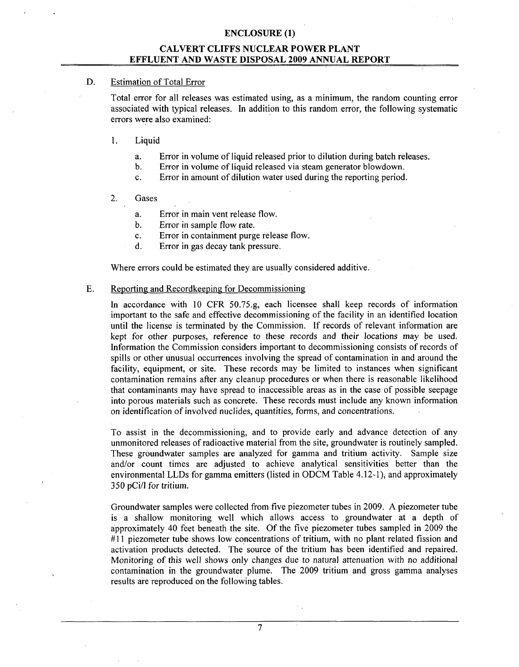### CALVERT **CLIFFS NUCLEAR** POWER **PLANT EFFLUENT AND** WASTE **DISPOSAL 2009 ANNUAL** REPORT

#### **D.** Estimation of Total Error

Total error for all releases was estimated using, as a minimum, the random counting error associated with typical releases. In addition to this random error, the following systematic errors were also examined:

#### 1. Liquid

- a. Error in volume of liquid released prior to dilution during batch releases.
- b. Error in volume of liquid released via steam generator blowdown.
- c. Error in amount of dilution water used during the reporting period.

#### 2. Gases

- a. Error in main vent release flow.
- b. Error in sample flow rate.
- c. Error in containment purge release flow.
- d. Error in gas decay tank pressure.

Where errors could be estimated they are usually considered additive.

#### E. Reporting and Recordkeeping for Decommissioning

In accordance with 10 CFR 50.75.g, each licensee shall keep records of information important to the safe and effective decommissioning of the facility in an identified location until the license is terminated by the Commission. If records of relevant information are kept for other purposes, reference to these records and their locations may be used. Information the Commission considers important to decommissioning consists of records of spills or other unusual occurrences involving the spread of contamination in and around the facility, equipment, or site. These records may be limited to instances when significant contamination remains after any cleanup procedures or when there is reasonable likelihood that contaminants may have spread to inaccessible areas as in the case of possible seepage into porous materials such as concrete. These records must include any known information on identification of involved nuclides, quantities, forms, and concentrations.

To assist in the decommissioning, and to provide early and advance detection of any unmonitored releases of radioactive material from the site, groundwater is routinely sampled. These groundwater samples are analyzed for gamma and tritium activity. Sample size and/or count times are adjusted to achieve analytical sensitivities better than the environmental LLDs for gamma emitters (listed in ODCM Table 4.12-1), and approximately *350* pCi/l for tritium.

Groundwater samples were collected from five piezometer tubes in 2009. A piezometer tube is a shallow monitoring well which allows access to groundwater at a depth of approximately 40 feet beneath the site. Of the five piezometer tubes sampled in 2009 the #11 piezometer tube shows low concentrations of tritium, with no plant related fission and activation products detected. The source of the tritium has been identified and repaired. Monitoring of this well shows only changes due to natural attenuation with no additional contamination in the groundwater plume. The 2009 tritium and gross gamma analyses results are reproduced on the following tables.

**7**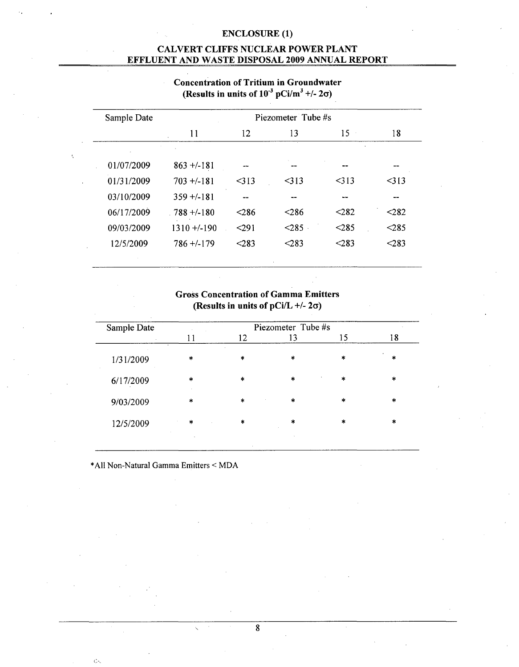### CALVERT **CLIFFS NUCLEAR** POWER **PLANT EFFLUENT AND** WASTE **DISPOSAL 2009 ANNUAL** REPORT

| Sample Date | Piezometer Tube #s |       |         |         |         |  |  |  |
|-------------|--------------------|-------|---------|---------|---------|--|--|--|
|             | 11                 | 12    | 13      | 15      | 18      |  |  |  |
| 01/07/2009  | $863 + -181$       |       |         |         |         |  |  |  |
| 01/31/2009  | $703 + (-181)$     | 313   | $<$ 313 | $<$ 313 | $<$ 313 |  |  |  |
| 03/10/2009  | $359 + (-181)$     |       |         |         |         |  |  |  |
| 06/17/2009  | $.788 + (-180)$    | < 286 | < 286   | $282$   | $282$   |  |  |  |
| 09/03/2009  | $1310 + (-190$     | < 291 | < 285   | < 285   | < 285   |  |  |  |
| 12/5/2009   | $786 + (-179)$     | < 283 | < 283   | < 283   | < 283   |  |  |  |

# Concentration of Tritium in Groundwater (Results in units of  $10^{-3}$  pCi/m<sup>3</sup> +/- 2 $\sigma$ )

### Gross Concentration of Gamma Emitters (Results in units of  $pCi/L +/- 2\sigma$ )

|         |        | Piezometer Tube #s |         |         |
|---------|--------|--------------------|---------|---------|
| 11      | 12     | 13                 | 15      | 18      |
| 米       | $\ast$ | $\ast$             | *       | $\ast$  |
| $\star$ | $\ast$ | $\ast$             | $\star$ | $\ast$  |
| $\ast$  | $\ast$ | $\ast$             | $\star$ | $\ast$  |
| $\ast$  | $\ast$ | 実                  | $\ast$  | $\star$ |
|         |        |                    |         |         |

**\*All** Non-Natural Gamma Emitters < MDA

 $\hat{G}$ 

8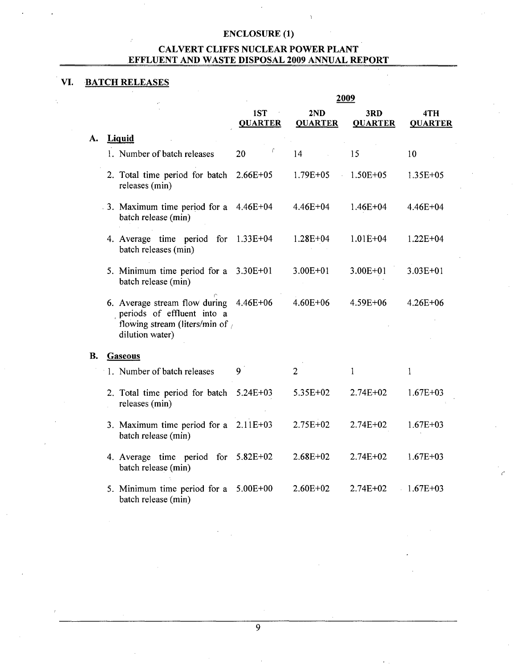## CALVERT **CLIFFS NUCLEAR** POWER **PLANT EFFLUENT AND** WASTE **DISPOSAL 2009 ANNUAL** REPORT

# VI. BATCH **RELEASES**

|    |                                                                                                                            | 2009                  |                           |                       |                       |  |  |
|----|----------------------------------------------------------------------------------------------------------------------------|-----------------------|---------------------------|-----------------------|-----------------------|--|--|
|    |                                                                                                                            | 1ST<br><b>QUARTER</b> | 2ND<br><b>QUARTER</b>     | 3RD<br><b>QUARTER</b> | 4TH<br><b>QUARTER</b> |  |  |
| А. | <b>Liquid</b>                                                                                                              |                       |                           |                       |                       |  |  |
|    | 1. Number of batch releases                                                                                                | 20                    | 14                        | 15                    | 10                    |  |  |
|    | 2. Total time period for batch<br>releases (min)                                                                           | $2.66E + 05$          | $1.79E + 05$<br>$\bar{z}$ | $1.50E + 05$          | 1.35E+05              |  |  |
|    | 3. Maximum time period for a<br>batch release (min)                                                                        | 4.46E+04              | $4.46E + 04$              | $1.46E + 04$          | $4.46E + 04$          |  |  |
|    | 4. Average time period<br>for<br>batch releases (min)                                                                      | $1.33E + 04$          | $1.28E + 04$              | $1.01E + 04$          | $1.22E + 04$          |  |  |
|    | 5. Minimum time period for a<br>batch release (min)                                                                        | $3.30E + 01$          | $3.00E + 01$              | $3.00E + 01$          | $3.03E + 01$          |  |  |
|    | 6. Average stream flow during<br>periods of effluent into a<br>flowing stream (liters/min of $\epsilon$<br>dilution water) | 4.46E+06              | $4.60E + 06$              | 4.59E+06              | $4.26E + 06$          |  |  |
| В. | Gaseous                                                                                                                    |                       |                           |                       |                       |  |  |
|    | 1. Number of batch releases                                                                                                | 9                     | $\overline{2}$            | 1                     | 1                     |  |  |
|    | 2. Total time period for batch<br>releases (min)                                                                           | $5.24E + 03$          | 5.35E+02                  | $2.74E + 02$          | $1.67E + 03$          |  |  |
|    | 3. Maximum time period for a<br>batch release (min)                                                                        | $2.11E+03$            | 2.75E+02                  | $2.74E + 02$          | $1.67E + 03$          |  |  |
|    | 4. Average time period<br>for<br>batch release (min)                                                                       | $5.82E + 02$          | $2.68E + 02$              | 2.74E+02              | $1.67E + 03$          |  |  |
|    | 5. Minimum time period for a<br>batch release (min)                                                                        | $5.00E + 00$          | $2.60E+02$                | $2.74E + 02$          | $1.67E + 03$          |  |  |

 $\overline{9}$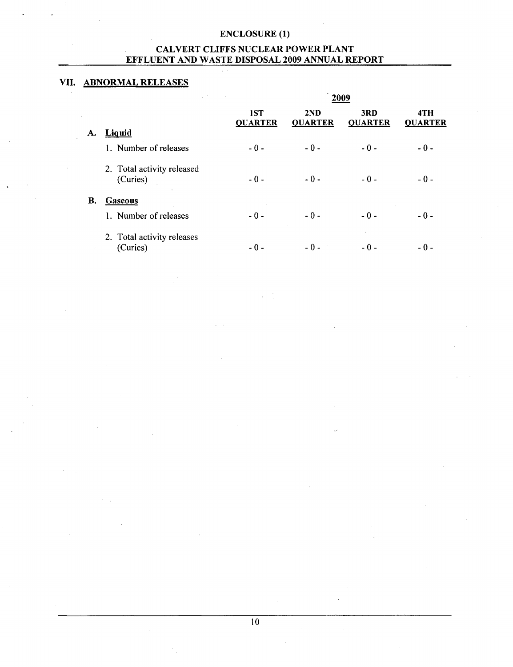### CALVERT **CLIFFS NUCLEAR** POWER **PLANT EFFLUENT AND** WASTE **DISPOSAL 2009 ANNUAL** REPORT

# **VII.** ABNORMAL **RELEASES**

|                            | 1ST<br><b>QUARTER</b>                                                     | 2ND<br><b>QUARTER</b> | 3RD<br><b>QUARTER</b> | 4TH<br><b>OUARTER</b> |  |  |  |  |
|----------------------------|---------------------------------------------------------------------------|-----------------------|-----------------------|-----------------------|--|--|--|--|
|                            |                                                                           | $-0-$                 | $-0-$                 | $-0-$                 |  |  |  |  |
|                            |                                                                           |                       |                       |                       |  |  |  |  |
| (Curies)                   | $-0-$                                                                     | $-0-$                 | $-0-$                 | $-0-$                 |  |  |  |  |
| <b>Gaseous</b>             |                                                                           |                       |                       |                       |  |  |  |  |
| 1. Number of releases      | $-0-$                                                                     | $-0-$                 | $-0-$                 | - 0 -                 |  |  |  |  |
| 2. Total activity releases | - 0 -                                                                     | $-0-$                 | - 0 -                 | - 0 -                 |  |  |  |  |
|                            | Liquid<br>1. Number of releases<br>2. Total activity released<br>(Curies) | $-0-$                 |                       |                       |  |  |  |  |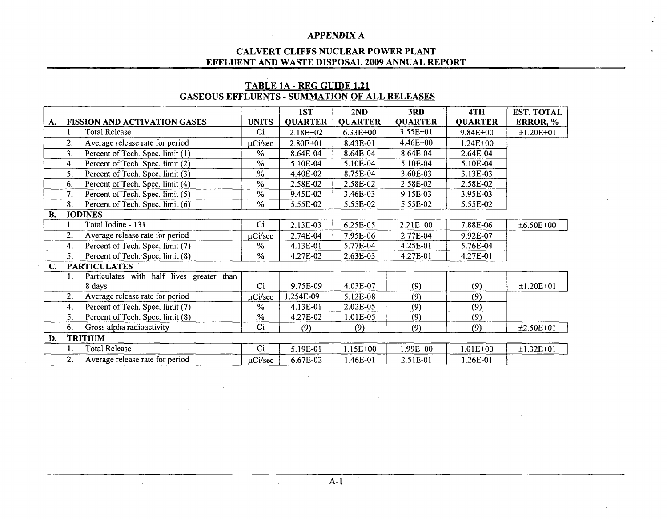#### **CALVERT CLIFFS NUCLEAR POWER PLANT EFFLUENT AND WASTE DISPOSAL 2009 ANNUAL REPORT**

### **1ST 2ND 3RD 4TH EST. TOTAL <br>
<b>1ST 2ND 3RD 4TH EST. TOTAL A. FISSION AND ACTIVATION GASES UNITS** QUARTER QUARTER QUARTER QUARTER ERROR, **%** 1. Total Release Ci 2.18E+02 6.33E+00 3.55E+01 9.84E+00 **±1.20E+01** 2. Average release rate for period  $\mu$ Ci/sec 2.80E+01 8.43E-01 4.46E+00 1.24E+00<br>3. Percent of Tech. Spec. limit (1)  $\frac{\%}{\%}$  8.64E-04 8.64E-04 8.64E-04 2.64E-04 3. Percent of Tech. Spec. limit (1) <br> **3.** Percent of Tech. Spec. limit (2) <br> **3.** Percent of Tech. Spec. limit (2) <br> **3. 6.64E-04 8.64E-04 8.64E-04 8.64E-04 8.64E-04 8.10E-04 8.10E-04 8.10E-04 8.10E-04** 4. Percent of Tech. Spec. limit (2) <br>
5.10E-04 5.10E-04 5.10E-04 5.10E-04 5.10E-04 5.10E-04<br>
5. Percent of Tech. Spec. limit (3) <br>
<sup>9</sup>/<sub>9</sub> 4.40E-02 8.75E-04 3.60E-03 3.13E-03 5. Percent of Tech. Spec. limit (3) **%** 4.40E-02 8.75E-04 3.60E-03 3.13E-03 6. Percent of Tech. Spec. limit (4) **%** 2.58E-02 2.58E-02 2.58E-02 2.58E-02 7. Percent of Tech. Spec. limit (5) 8. Percent of Tech. Spec. limit (6) **%** 5.55E-02 5.55E-02 5.55E-02 5.55E-02 B. JODINES 1. Total Iodine - 131 Ci 2.13E-03 6.25E-05 2.21E+00 7.88E-06 ±6.50E+00 2. Average release rate for period  $\frac{UCi/sec}{2.74E-04}$  7.95E-06 2.77E-04 9.92E-07 4. Percent of Tech. Spec. limit (7) **%** 4.13E-01 5.77E-04 4.25E-01 5.76E-04 *5.* Percent of Tech. Spec. limit (8) **%** 4.27E-02 2.63E-03 4.27E-01 4.27E-01 **C. PARTICULATES** 1. Particulates with half lives greater than 8 days Ci 9.75E-09 4.03E-07 (9) (9) ±1.20E+01 2. Average release rate for period  $\mu$ Ci/sec 1.254E-09 5.12E-08 (9) (9) 4. Percent of Tech. Spec. limit (7) **%** 4.13E-01 2.02E-05 (9) (9) 5. Percent of Tech. Spec. limit (8) **%** 4.27E-02 1.01E-05 (9) (9) 6. Gross alpha radioactivity Ci **(9)** (9) (9) **(9)** ±2.50E+0I D. TRITIUM<br>1. Total Release 1. Total Release **Ci Ci Ci 5.19E-01 | 1.15E+00 | 1.99E+00 | 1.01E+00 | ±1.32E+01** 2. Average release rate for period **I**gCi/sec **I**  $6.67E-02$  **I**  $1.46E-01$  **I**  $2.51E-01$  **I**  $1.26E-01$

### TABLE **1A** - REG **GUIDE** 1.21 **GASEOUS EFFLUENTS** - **SUMMATION** OF **ALL RELEASES**

**A-1**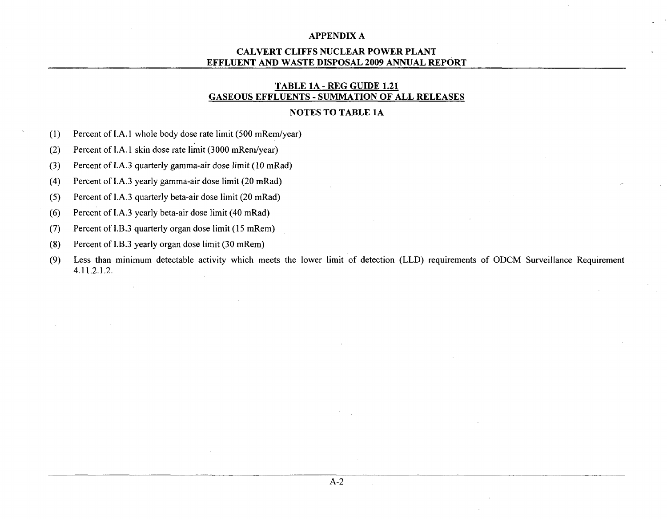### CALVERT **CLIFFS NUCLEAR** POWER **PLANT EFFLUENT AND** WASTE **DISPOSAL 2009 ANNUAL** REPORT

### TABLE **1A** - REG **GUIDE** 1.21 **GASEOUS EFFLUENTS** - **SUMMATION** OF **ALL RELEASES**

#### **NOTES** TO TABLE **1A**

(1) Percent of I.A. 1 whole body dose rate limit (500 mRem/year)

(2) Percent of I.A. **I** skin dose rate limit (3000 mRem/year)

(3) Percent of I.A.3 quarterly gamma-air dose limit (10 mRad)

(4) Percent of I.A.3 yearly gamma-air dose limit (20 mRad)

(5) Percent of I.A.3 quarterly beta-air dose limit (20 mRad)

(6) Percent of I.A.3 yearly beta-air dose limit (40 mRad)

(7) Percent of I.B.3 quarterly organ dose limit (15 mRem)

- (8) Percent of 1.B.3 yearly organ dose limit (30 mRem)
- (9) Less than minimum detectable activity which meets the lower limit of detection (LLD) requirements of ODCM Surveillance Requirement 4.11.2.1.2.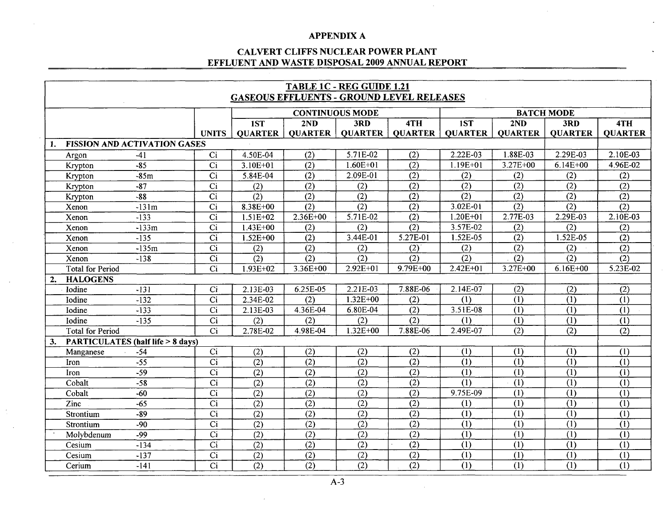### CALVERT **CLIFFS NUCLEAR** POWER **PLANT EFFLUENT AND** WASTE **DISPOSAL 2009 ANNUAL** REPORT

|    | TABLE 1C - REG GUIDE 1.21<br><b>GASEOUS EFFLUENTS - GROUND LEVEL RELEASES</b> |                                             |                  |                  |                  |                        |                  |                |                         |                  |                           |
|----|-------------------------------------------------------------------------------|---------------------------------------------|------------------|------------------|------------------|------------------------|------------------|----------------|-------------------------|------------------|---------------------------|
|    |                                                                               |                                             |                  |                  |                  | <b>CONTINUOUS MODE</b> |                  |                | <b>BATCH MODE</b>       |                  |                           |
|    |                                                                               |                                             |                  | 1ST              | 2ND              | 3RD                    | 4TH              | 1ST            | 2ND                     | 3RD              | 4TH                       |
|    |                                                                               |                                             | <b>UNITS</b>     | <b>QUARTER</b>   | <b>QUARTER</b>   | <b>QUARTER</b>         | <b>QUARTER</b>   | <b>QUARTER</b> | <b>QUARTER</b>          | <b>QUARTER</b>   | <b>QUARTER</b>            |
| 1. |                                                                               | <b>FISSION AND ACTIVATION GASES</b>         |                  |                  |                  |                        |                  |                |                         |                  |                           |
|    | Argon                                                                         | $-41$                                       | Ci               | 4.50E-04         | (2)              | 5.71E-02               | (2)              | 2.22E-03       | 1.88E-03                | 2.29E-03         | 2.10E-03                  |
|    | Krypton                                                                       | $-85$                                       | Ci               | 3.10E+01         | (2)              | $1.60E + 01$           | (2)              | $1.19E + 01$   | 3.27E+00                | $6.14E + 00$     | 4.96E-02                  |
|    | Krypton                                                                       | $-85m$                                      | Ci               | 5.84E-04         | (2)              | 2.09E-01               | (2)              | (2)            | (2)                     | (2)              | (2)                       |
|    | Krypton                                                                       | $-87$                                       | Ci               | (2)              | (2)              | (2)                    | (2)              | (2)            | (2)                     | (2)              | (2)                       |
|    | Krypton                                                                       | $-88$                                       | Ci               | (2)              | (2)              | (2)                    | (2)              | (2)            | (2)                     | (2)              | (2)                       |
|    | Xenon                                                                         | $-131m$                                     | Ci               | 8.38E+00         | (2)              | (2)                    | $\overline{(2)}$ | $3.02E - 01$   | (2)                     | (2)              | $\overline{(2)}$          |
|    | Xenon                                                                         | $-133$                                      | $\overline{Ci}$  | $1.51E + 02$     | 2.36E+00         | 5.71E-02               | (2)              | $1.20E + 01$   | 2.77E-03                | 2.29E-03         | 2.10E-03                  |
|    | Xenon                                                                         | $-133m$                                     | $\overline{Ci}$  | $1.43E + 00$     | (2)              | (2)                    | (2)              | 3.57E-02       | (2)                     | (2)              | (2)                       |
|    | Xenon                                                                         | $-135$                                      | $\overline{Ci}$  | $1.52E + 00$     | (2)              | 3.44E-01               | 5.27E-01         | 1.52E-05       | (2)                     | 1.52E-05         | $\overline{(2)}$          |
|    | Xenon                                                                         | $-135m$                                     | Ci               | (2)              | (2)              | (2)                    | (2)              | (2)            | (2)                     | (2)              | (2)                       |
|    | Xenon                                                                         | $-138$                                      | $\overline{Ci}$  | (2)              | (2)              | $\overline{(2)}$       | $\overline{(2)}$ | (2)            | (2)                     | $\overline{(2)}$ | $\overline{(2)}$          |
|    | <b>Total for Period</b>                                                       |                                             | $\overline{C}$ i | $1.93E+02$       | $3.36E + 00$     | $2.92E+01$             | $9.79E + 00$     | $2.42E + 01$   | $3.27E+00$              | $6.16E + 00$     | $5.23E-02$                |
| 2. | <b>HALOGENS</b>                                                               |                                             |                  |                  |                  |                        |                  |                |                         |                  |                           |
|    | Iodine                                                                        | $-131$                                      | Ci               | 2.13E-03         | 6.25E-05         | 2.21E-03               | 7.88E-06         | $2.14E-07$     | (2)                     | $\overline{(2)}$ | (2)                       |
|    | Iodine                                                                        | $-132$                                      | Ci               | 2.34E-02         | (2)              | 1.32E+00               | (2)              | (1)            | (1)                     | $\overline{(1)}$ | $\overline{(1)}$          |
|    | Iodine                                                                        | $-133$                                      | Ci               | 2.13E-03         | 4.36E-04         | 6.80E-04               | (2)              | 3.51E-08       | (1)                     | (1)              | (1)                       |
|    | Iodine                                                                        | $-135$                                      | $\overline{Ci}$  | (2)              | (2)              | (2)                    | (2)              | (1)            | $\overline{(1)}$        | $\overline{1}$   | (1)                       |
|    | <b>Total for Period</b>                                                       |                                             | Ci               | 2.78E-02         | 4.98E-04         | $1.32E + 00$           | 7.88E-06         | 2.49E-07       | (2)                     | (2)              | (2)                       |
| 3. |                                                                               | <b>PARTICULATES (half life &gt; 8 days)</b> |                  |                  |                  |                        |                  |                |                         |                  |                           |
|    | Manganese                                                                     | $-54$                                       | Ci               | (2)              | (2)              | (2)                    | (2)              | (1)            | (1)                     | (1)              | (1)                       |
|    | Iron                                                                          | $-55$                                       | $\overline{Ci}$  | (2)              | (2)              | (2)                    | (2)              | (1)            | (1)                     | (1)              | (1)                       |
|    | Iron                                                                          | $-59$                                       | $\overline{Ci}$  | $\overline{(2)}$ | (2)              | (2)                    | (2)              | (1)            | $\overline{(1)}$        | $\overline{1}$   | (1)                       |
|    | Cobalt                                                                        | $-58$                                       | Ci               | (2)              | (2)              | (2)                    | (2)              | (1)            | (1)                     | (1)              | (1)                       |
|    | Cobalt                                                                        | $-60$                                       | Ci               | (2)              | (2)              | (2)                    | (2)              | 9.75E-09       | (1)                     | (1)              | (1)                       |
|    | Zinc                                                                          | $-65$                                       | $\overline{Ci}$  | $\overline{(2)}$ | (2)              | (2)                    | (2)              | (1)            | (1)                     | (1)              | (1)                       |
|    | Strontium                                                                     | $-89$                                       | Ci               | (2)              | (2)              | (2)                    | (2)              | (1)            | (1)                     | (1)              | (1)                       |
|    | Strontium                                                                     | $-90$                                       | $\overline{Ci}$  | (2)              | (2)              | (2)                    | (2)              | (1)            | $\overline{(1)}$        | (1)              | $\overline{(\mathbf{I})}$ |
|    | Molybdenum                                                                    | -99                                         | $\overline{Ci}$  | (2)              | (2)              | (2)                    | (2)              | (1)            | (1)                     | (1)              | (1)                       |
|    | Cesium                                                                        | $-134$                                      | Ci               | (2)              | $\overline{(2)}$ | (2)                    | (2)              | (1)            | $\overline{(1)}$        | (1)              | (1)                       |
|    | Cesium                                                                        | $-137$                                      | $\overline{Ci}$  | $\overline{(2)}$ | (2)              | (2)                    | (2)              | (1)            | (1)                     | (1)              | $\overline{(1)}$          |
|    | Cerium                                                                        | $-141$                                      | $\overline{Ci}$  | (2)              | (2)              | (2)                    | (2)              | (1)            | $\overline{(\text{I})}$ | (1)              | $\overline{(1)}$          |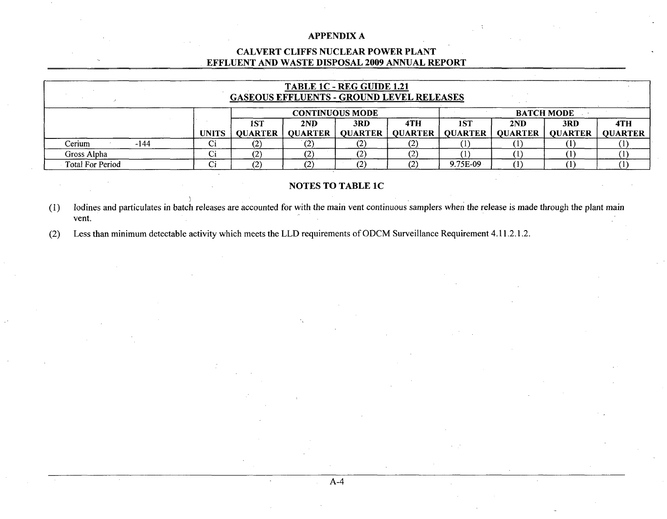### CALVERT **CLIFFS NUCLEAR** POWER **PLANT EFFLUENT AND** WASTE **DISPOSAL 2009 ANNUAL** REPORT

| TABLE 1C - REG GUIDE 1.21<br><b>GASEOUS EFFLUENTS - GROUND LEVEL RELEASES</b> |        |              |                |                        |                   |                   |                |                |                |                |
|-------------------------------------------------------------------------------|--------|--------------|----------------|------------------------|-------------------|-------------------|----------------|----------------|----------------|----------------|
|                                                                               |        |              |                | <b>CONTINUOUS MODE</b> |                   | <b>BATCH MODE</b> |                |                |                |                |
|                                                                               |        |              | 1ST            | 2ND                    | 3RD               | 4TH               | 1ST            | 2ND            | 3RD            | 4TH            |
|                                                                               |        | <b>UNITS</b> | <b>OUARTER</b> | <b>OUARTER</b>         | <b>QUARTER</b>    | <b>OUARTER</b>    | <b>QUARTER</b> | <b>OUARTER</b> | <b>OUARTER</b> | <b>QUARTER</b> |
| Cerium                                                                        | $-144$ | ◡            |                | (2)                    | ∖≁.               |                   |                |                |                |                |
| Gross Alpha                                                                   |        | u            |                | (2)                    | ◟                 |                   |                |                |                |                |
| <b>Total For Period</b>                                                       |        | u            |                | (2)                    | $\left( 2\right)$ |                   | 9.75E-09       | $\left($ I     |                |                |

### NOTES TO TABLE **1C**

**(1)** lodines and particulates in batch releases are accounted for with the main vent continuous samplers when the release is made through the plant main vent.

A-4

(2) Less than minimum detectable activity which meets the LLD requirements of ODCM Surveillance Requirement 4.11.2.1.2.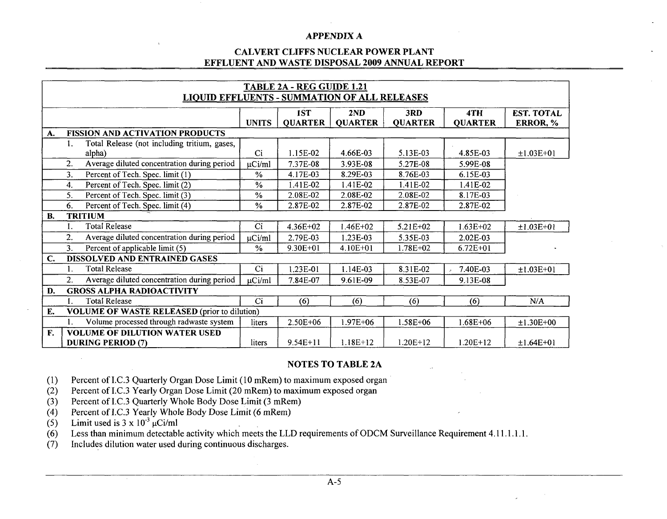### **CAL VERT CLIFFS NUCLEAR POWER PLANT EFFLUENT AND WASTE DISPOSAL 2009 ANNUAL REPORT**

|              | TABLE 2A - REG GUIDE 1.21 |                                                     |               |                |                |                |                |                   |  |  |
|--------------|---------------------------|-----------------------------------------------------|---------------|----------------|----------------|----------------|----------------|-------------------|--|--|
|              |                           | <b>LIQUID EFFLUENTS - SUMMATION OF ALL RELEASES</b> |               |                |                |                |                |                   |  |  |
|              |                           |                                                     |               | 1ST            | 2ND            | 3RD            | 4TH            | <b>EST. TOTAL</b> |  |  |
|              |                           |                                                     | <b>UNITS</b>  | <b>QUARTER</b> | <b>QUARTER</b> | <b>QUARTER</b> | <b>QUARTER</b> | ERROR, %          |  |  |
| A.           |                           | <b>FISSION AND ACTIVATION PRODUCTS</b>              |               |                |                |                |                |                   |  |  |
|              | 1.                        | Total Release (not including tritium, gases,        |               |                |                |                |                |                   |  |  |
|              |                           | alpha)                                              | Ci            | 1.15E-02       | 4.66E-03       | 5.13E-03       | 4.85E-03       | $±1.03E+01$       |  |  |
|              | 2.                        | Average diluted concentration during period         | µCi/ml        | 7.37E-08       | 3.93E-08       | 5.27E-08       | 5.99E-08       |                   |  |  |
|              | 3.                        | Percent of Tech. Spec. limit (1)                    | $\frac{0}{0}$ | 4.17E-03       | 8.29E-03       | 8.76E-03       | 6.15E-03       |                   |  |  |
|              | 4.                        | Percent of Tech. Spec. limit (2)                    | $\%$          | 1.41E-02       | 1.41E-02       | 1.41E-02       | 1.41E-02       |                   |  |  |
|              | 5.                        | Percent of Tech. Spec. limit (3)                    | $\%$          | 2.08E-02       | 2.08E-02       | 2.08E-02       | 8.17E-03       |                   |  |  |
|              | 6.                        | Percent of Tech. Spec. limit (4)                    | $\%$          | 2.87E-02       | 2.87E-02       | 2.87E-02       | 2.87E-02       |                   |  |  |
| <b>B.</b>    |                           | <b>TRITIUM</b>                                      |               |                |                |                |                |                   |  |  |
|              | 1.                        | <b>Total Release</b>                                | Ci            | 4.36E+02       | 1.46E+02       | 5.21E+02       | $1.63E + 02$   | $±1.03E+01$       |  |  |
|              | $\overline{2}$ .          | Average diluted concentration during period         | $\mu$ Ci/ml   | 2.79E-03       | 1.23E-03       | 5.35E-03       | 2.02E-03       |                   |  |  |
|              | 3.                        | Percent of applicable limit (5)                     | $\frac{0}{0}$ | $9.30E + 01$   | $4.10E + 01$   | 1.78E+02       | $6.72E + 01$   |                   |  |  |
| $\mathbf{C}$ |                           | DISSOLVED AND ENTRAINED GASES                       |               |                |                |                |                |                   |  |  |
|              |                           | <b>Total Release</b>                                | Ci            | 1.23E-01       | $1.14E-03$     | 8.31E-02       | 7.40E-03       | $±1.03E+01$       |  |  |
|              | 2.                        | Average diluted concentration during period         | $\mu$ Ci/ml   | 7.84E-07       | 9.61E-09       | 8.53E-07       | 9.13E-08       |                   |  |  |
| D.           |                           | <b>GROSS ALPHA RADIOACTIVITY</b>                    |               |                |                |                |                |                   |  |  |
|              |                           | <b>Total Release</b>                                | Ci            | (6)            | (6)            | (6)            | (6)            | N/A               |  |  |
| E.           |                           | <b>VOLUME OF WASTE RELEASED (prior to dilution)</b> |               |                |                |                |                |                   |  |  |
|              |                           | Volume processed through radwaste system            | liters        | 2.50E+06       | $1.97E + 06$   | $1.58E + 06$   | $1.68E + 06$   | $±1.30E+00$       |  |  |
| F.           |                           | <b>VOLUME OF DILUTION WATER USED</b>                |               |                |                |                |                |                   |  |  |
|              |                           | <b>DURING PERIOD (7)</b>                            | liters        | $9.54E+11$     | $1.18E+12$     | 1.20E+12       | $1.20E+12$     | $±1.64E+01$       |  |  |

### **NOTES** TO TABLE **2A**

(1) Percent of I.C.3 Quarterly Organ Dose Limit (10 mRem) to maximum exposed organ

(2) Percent of I.C.3 Yearly Organ Dose Limit (20 mRem) to maximum exposed organ

(3) Percent of I.C.3 Quarterly Whole Body Dose Limit (3 mRem)

(4) Percent of I.C.3 Yearly Whole Body Dose Limit (6 mRem)

(5) Limit used is  $3 \times 10^{-3}$   $\mu$ Ci/ml

(6) Less than minimum detectable activity which meets the LLD requirements of ODCM Surveillance Requirement 4.11.1.1.1.1.

(7) Includes dilution water used during continuous discharges.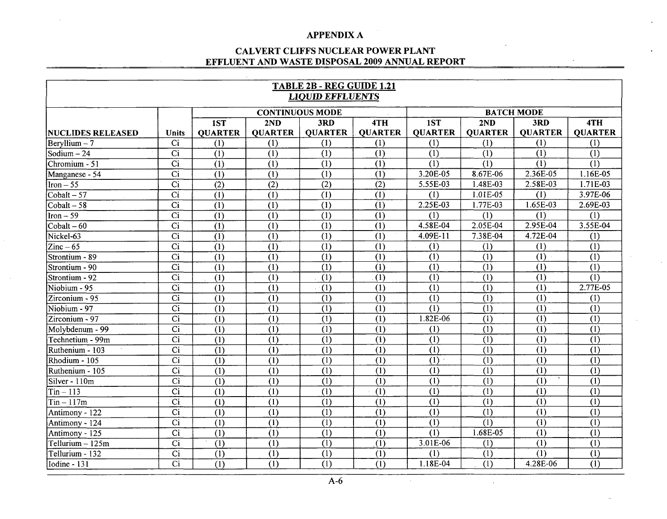### **CALVERT CLIFFS NUCLEAR POWER PLANT EFFLUENT AND WASTE DISPOSAL 2009 ANNUAL REPORT**

| TABLE 2B - REG GUIDE 1.21<br><b>LIQUID EFFLUENTS</b> |                  |                  |                        |                           |                           |                |                   |                  |                |
|------------------------------------------------------|------------------|------------------|------------------------|---------------------------|---------------------------|----------------|-------------------|------------------|----------------|
|                                                      |                  |                  | <b>CONTINUOUS MODE</b> |                           |                           |                | <b>BATCH MODE</b> |                  |                |
|                                                      |                  | 1ST              | 2ND                    | 3RD                       | 4TH                       | 1ST            | 2ND               | 3RD              | 4TH            |
| <b> NUCLIDES RELEASED</b>                            | <b>Units</b>     | <b>OUARTER</b>   | <b>OUARTER</b>         | <b>OUARTER</b>            | <b>QUARTER</b>            | <b>QUARTER</b> | <b>QUARTER</b>    | <b>QUARTER</b>   | <b>QUARTER</b> |
| $\text{Bervllium} - 7$                               | Ci               | (1)              | (1)                    | (1)                       | (1)                       | (1)            | (1)               | (1)              | (1)            |
| Sodium – 24                                          | Ci               | $\overline{(1)}$ | (1)                    | (1)                       | (1)                       | (1)            | (1)               | (1)              | (1)            |
| Chromium - 51                                        | $\overline{Ci}$  | (1)              | (1)                    | (1)                       | (1)                       | (1)            | (1)               | (1)              | (1)            |
| Manganese - 54                                       | $\overline{C}$ i | (1)              | (1)                    | (1)                       | (1)                       | 3.20E-05       | 8.67E-06          | 2.36E-05         | 1.16E-05       |
| $\text{Iron} - 55$                                   | Ci               | (2)              | (2)                    | (2)                       | (2)                       | 5.55E-03       | 1.48E-03          | 2.58E-03         | 1.71E-03       |
| $\overline{\text{Cobalt} - 57}$                      | $\overline{Ci}$  | (1)              | (1)                    | (1)                       | (1)                       | (1)            | 1.01E-05          | (1)              | 3.97E-06       |
| $\text{Cobalt} - \overline{58}$                      | C <sub>i</sub>   | (1)              | (1)                    | (1)                       | (1)                       | 2.25E-03       | 1.77E-03          | 1.65E-03         | 2.69E-03       |
| $Iron - 59$                                          | Ci               | (1)              | (1)                    | (1)                       | (1)                       | (1)            | (1)               | (1)              | (1)            |
| $Cobalt - 60$                                        | Ci               | (1)              | (1)                    | (1)                       | (1)                       | 4.58E-04       | 2.05E-04          | 2.95E-04         | 3.55E-04       |
| Nickel-63                                            | $\overline{Ci}$  | $\overline{(1)}$ | (1)                    | (1)                       | (1)                       | 4.09E-11       | 7.38E-04          | 4.72E-04         | (1)            |
| $Zinc-65$                                            | $\overline{Ci}$  | (1)              | (1)                    | (1)                       | (1)                       | (1)            | (1)               | (1)              | (1)            |
| Strontium - 89                                       | $\overline{Ci}$  | (1)              | (1)                    | (1)                       | (1)                       | (1)            | (1)               | (1)              | (1)            |
| Strontium - 90                                       | $\overline{Ci}$  | (1)              | (1)                    | $\overline{(\mathbf{1})}$ | $\overline{(\mathbf{1})}$ | (1)            | $\overline{(1)}$  | (1)              | (1)            |
| Strontium - 92                                       | $\overline{ci}$  | $\overline{(1)}$ | (1)                    | $\overline{(1)}$          | (1)                       | (1)            | (1)               | (1)              | (1)            |
| Niobium - 95                                         | $\overline{Ci}$  | $\overline{(1)}$ | (1)                    | (1)                       | (1)                       | (1)            | (1)               | (1)              | 2.77E-05       |
| Zirconium - 95                                       | $\overline{Ci}$  | (1)              | (1)                    | $\overline{(1)}$          | $\overline{(1)}$          | (1)            | (1)               | (1)              | (1)            |
| Niobium - 97                                         | $\overline{Ci}$  | (1)              | (1)                    | $\overline{(1)}$          | (1)                       | (1)            | (1)               | (1)              | (1)            |
| Zirconium - 97                                       | $\overline{Ci}$  | $\overline{(1)}$ | (1)                    | (1)                       | (1)                       | 1.82E-06       | (1)               | (1)              | (1)            |
| Molybdenum - 99                                      | $\overline{Ci}$  | (1)              | (1)                    | (1)                       | (1)                       | (1)            | $\overline{(1)}$  | (1)              | (1)            |
| Technetium - 99m                                     | $\overline{Ci}$  | (1)              | (1)                    | (1)                       | (1)                       | (1)            | $\overline{(1)}$  | $\overline{(1)}$ | (1)            |
| Ruthenium - 103                                      | $\overline{Ci}$  | (1)              | (1)                    | (1)                       | (1)                       | (1)            | (1)               | (1)              | (1)            |
| Rhodium - 105                                        | $\overline{Ci}$  | (1)              | (1)                    | (1)                       | (1)                       | (1)            | (1)               | (1)              | (1)            |
| Ruthenium - 105                                      | $\overline{Ci}$  | $\overline{(1)}$ | (1)                    | $\overline{(1)}$          | $\overline{(1)}$          | (1)            | (1)               | (1)              | (1)            |
| Silver - 110m                                        | Ci               | (1)              | (1)                    | $\overline{(1)}$          | (1)                       | (1)            | (1)               | (1)              | (1)            |
| $\overline{\text{ Tin} - 113}$                       | $\overline{Ci}$  | (1)              | (1)                    | (1)                       | (1)                       | (1)            | (1)               | (1)              | (1)            |
| $\text{Tin} - 117\text{m}$                           | $\overline{ci}$  | (1)              | (1)                    | (1)                       | (1)                       | (1)            | (1)               | (1)              | (1)            |
| Antimony - 122                                       | $\overline{Ci}$  | (1)              | (1)                    | $\overline{(1)}$          | (1)                       | (1)            | (1)               | (1)              | (1)            |
| Antimony - 124                                       | $\overline{Ci}$  | (1)              | (1)                    | (1)                       | (1)                       | (1)            | (1)               | (1)              | (1)            |
| Antimony - 125                                       | $\overline{Ci}$  | (1)              | (1)                    | (1)                       | (1)                       | (1)            | 1.68E-05          | (1)              | (1)            |
| Tellurium $-125m$                                    | Ci               | (1)              | (1)                    | $\overline{(1)}$          | (1)                       | 3.01E-06       | (1)               | (1)              | (1)            |
| Tellurium - 132                                      | $\overline{C}$ i | (1)              | (1)                    | (1)                       | (1)                       | (1)            | (1)               | (1)              | (1)            |
| Iodine - 131                                         | $\overline{Ci}$  | (1)              | (1)                    | (1)                       | (1)                       | 1.18E-04       | (1)               | 4.28E-06         | (1)            |

 $\sim 10^7$ 

 $\bar{z}$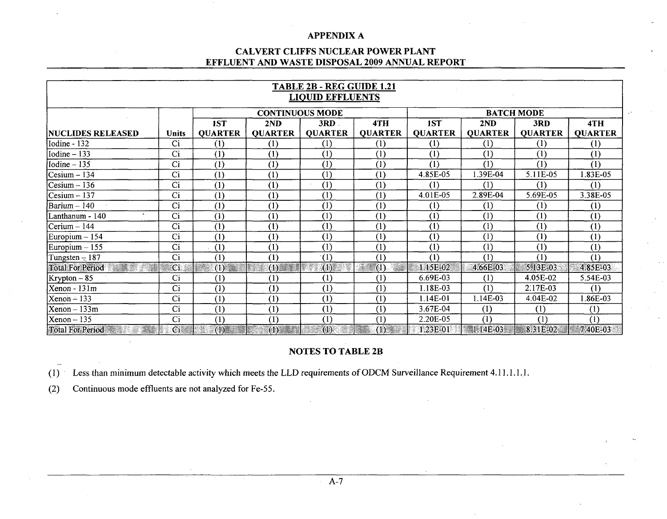### CALVERT CLIFFS **NUCLEAR** POWER **PLANT EFFLUENT AND** WASTE **DISPOSAL 2009 ANNUAL** REPORT

|                           | TABLE 2B - REG GUIDE 1.21                   |                                                                                                                                                                                                                                       |                   |                  |                |                  |                |                |                |
|---------------------------|---------------------------------------------|---------------------------------------------------------------------------------------------------------------------------------------------------------------------------------------------------------------------------------------|-------------------|------------------|----------------|------------------|----------------|----------------|----------------|
| <b>LIQUID EFFLUENTS</b>   |                                             |                                                                                                                                                                                                                                       |                   |                  |                |                  |                |                |                |
|                           | <b>CONTINUOUS MODE</b><br><b>BATCH MODE</b> |                                                                                                                                                                                                                                       |                   |                  |                |                  |                |                |                |
|                           |                                             | 1ST                                                                                                                                                                                                                                   | 4TH<br>2ND<br>3RD |                  |                | 1ST              | 2ND            | 3RD            | 4TH            |
| <b> NUCLIDES RELEASED</b> | <b>Units</b>                                | <b>QUARTER</b>                                                                                                                                                                                                                        | <b>QUARTER</b>    | <b>QUARTER</b>   | <b>QUARTER</b> | <b>QUARTER</b>   | <b>QUARTER</b> | <b>QUARTER</b> | <b>QUARTER</b> |
| Iodine - 132              | Ci                                          | (1)                                                                                                                                                                                                                                   | (1)               | (1)              | (1)            | (1)              | (1)            | (1)            | (1)            |
| Iodine $-133$             | Ci                                          | (1)                                                                                                                                                                                                                                   | (1)               | (1)              | (1)            | (1)              | (1)            | (1)            | (1)            |
| Iodine $-135$             | Ci                                          | (1)                                                                                                                                                                                                                                   | (1)               | (1)              | (1)            | (1)              | (1)            | (1)            | (1)            |
| $Cesium - 134$            | Ci                                          | (1)                                                                                                                                                                                                                                   | (1)               | (1)              | (1)            | 4.85E-05         | 1.39E-04       | 5.11E-05       | 1.83E-05       |
| $Cesium - 136$            | Ci                                          | (1)                                                                                                                                                                                                                                   | (1)               | (1)              | (1)            | (1)              | (1)            | (1)            | (1)            |
| $Cesium - 137$            | Ci                                          | (1)                                                                                                                                                                                                                                   | (1)               | (1)              | (1)            | 4.01E-05         | 2.89E-04       | 5.69E-05       | 3.38E-05       |
| Barium - 140              | Ci                                          | (1)                                                                                                                                                                                                                                   | (1)               | (1)              | (1)            | $\left(1\right)$ | (1)            | (1)            | (1)            |
| Lanthanum - 140           | Ci                                          | (1)                                                                                                                                                                                                                                   | (1)               | (1)              | (1)            | (1)              | (1)            | (1)            | (1)            |
| Cerium $-144$             | Ci                                          | (1)                                                                                                                                                                                                                                   | (1)               | (1)              | (1)            | (1)              | (1)            | (1)            | (1)            |
| Europium $-154$           | Ci                                          | (1)                                                                                                                                                                                                                                   | (1)               | (1)              | (1)            | (1)              | (1)            | (1)            | (1)            |
| Europium $-155$           | Ci                                          | (1)                                                                                                                                                                                                                                   | (1)               | (1)              | (1)            | (1)              | (1)            | (1)            | (1)            |
| Tungsten $-187$           | Ci                                          | (1)                                                                                                                                                                                                                                   | (1)               | (1)              | (1)            | (1)              | (1)            | (1)            | (1)            |
| <b>Total For Period</b>   | $\overline{\mathbf{C}}$ i                   | (1)<br>e de la construcción de la construcción de la construcción de la construcción de la construcción de la construcción de la construcción de la construcción de la construcción de la construcción de la construcción de la const | (1)               | $\left(1\right)$ | ÷,<br>(1)      | 1.15E-02         | 4.66E-03       | 5.13E-03       | 4.85E-03       |
| $Krypton-85$              | Ci                                          | (1)                                                                                                                                                                                                                                   | (1)               | (1)              | (1)            | 6.69E-03         | (1)            | 4.05E-02       | 5.54E-03       |
| $Xenon - 131m$            | Ci                                          | (1)                                                                                                                                                                                                                                   | (1)               | (1)              | (1)            | 1.18E-03         | (1)            | 2.17E-03       | (1)            |
| $Xenon - 133$             | Ci                                          | (1)                                                                                                                                                                                                                                   | (1)               | (1)              | (1)            | 1.14E-01         | 1.14E-03       | 4.04E-02       | 1.86E-03       |
| $Xenon - 133m$            | Ci                                          | (1)                                                                                                                                                                                                                                   | (1)               | (1)              | (1)            | 3.67E-04         | (1)            | (1)            | (1)            |
| $Xenon - 135$             | Ci                                          | (1)                                                                                                                                                                                                                                   | (1)               | (1)              | (1)            | 2.20E-05         | (1)            | (1)            | (1)            |
| Total For Period          | $\overline{\mathbf{C}}$ i                   | (1)                                                                                                                                                                                                                                   | $(1)$ (1)         | (1)              | (1)            | 1.23E-01         | $1.14E-03$     | 8.31E-02       | 7.40E-03       |

## **NOTES** TO TABLE 2B

(1) Less than minimum detectable activity which meets the LLD requirements of ODCM Surveillance Requirement 4.11.1.1 .1.

(2) Continuous mode effluents are not analyzed for Fe-55.

 $\sim$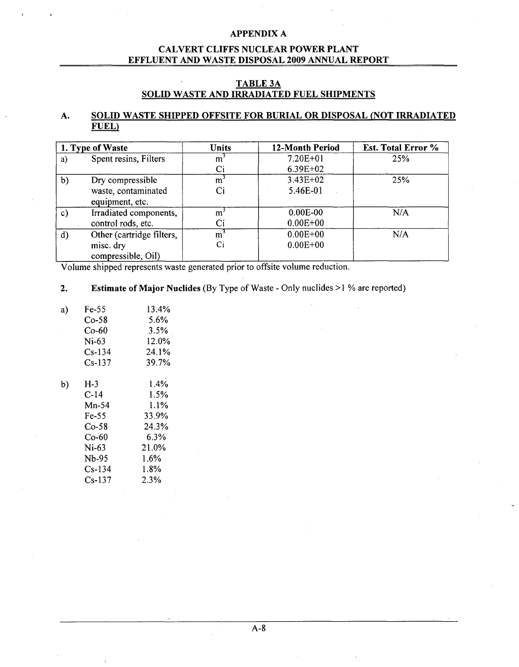### CALVERT **CLIFFS NUCLEAR** POWER **PLANT EFFLUENT AND** WASTE **DISPOSAL 2009 ANNUAL** REPORT

### **TABLE3A SOLID** WASTE **AND** IRRADIATED **FUEL** SHIPMENTS

### **A. SOLID** WASTE **SHIPPED OFFSITE** FOR BURIAL OR **DISPOSAL (NOT** IRRADIATED **FUEL)**

|              | 1. Type of Waste                       | Units          | 12-Month Period | Est. Total Error % |
|--------------|----------------------------------------|----------------|-----------------|--------------------|
| a)           | Spent resins, Filters                  | m <sup>-</sup> | $7.20E + 01$    | 25%                |
|              |                                        | Ci             | $6.39E + 02$    |                    |
| b)           | Dry compressible                       | m <sup>-</sup> | $3.43E + 02$    | 25%                |
|              | waste, contaminated<br>equipment, etc. |                | 5.46E-01        |                    |
| c)           | Irradiated components,                 | m.             | $0.00E-00$      | N/A                |
|              | control rods, etc.                     |                | $0.00E + 00$    |                    |
| $\mathbf{d}$ | Other (cartridge filters,              | m,             | $0.00E + 00$    | N/A                |
|              | misc. dry                              | Ci             | $0.00E + 00$    |                    |
|              | compressible, Oil)                     |                |                 |                    |

Volume shipped represents waste generated prior to offsite volume reduction.

### 2. Estimate of Major Nuclides (By Type of Waste - Only nuclides **>1** % are reported)

| a) | Fe-55    | 13.4%   |
|----|----------|---------|
|    | Co-58    | $5.6\%$ |
|    | Co-60    | 3.5%    |
|    | $Ni-63$  | 12.0%   |
|    | $Cs-134$ | 24.1%   |
|    | Cs-137   | 39.7%   |
| b) | $H-3$    | 1.4%    |
|    | C-14     | 1.5%    |
|    |          |         |
|    | $Mn-54$  | 1.1%    |
|    | Fe-55    | 33.9%   |
|    | $Co-58$  | 24.3%   |
|    | Co-60    | $6.3\%$ |
|    | Ni-63    | 21.0%   |
|    | Nb-95    | $1.6\%$ |
|    | Cs-134   | 1.8%    |
|    | $Cs-137$ | 2.3%    |